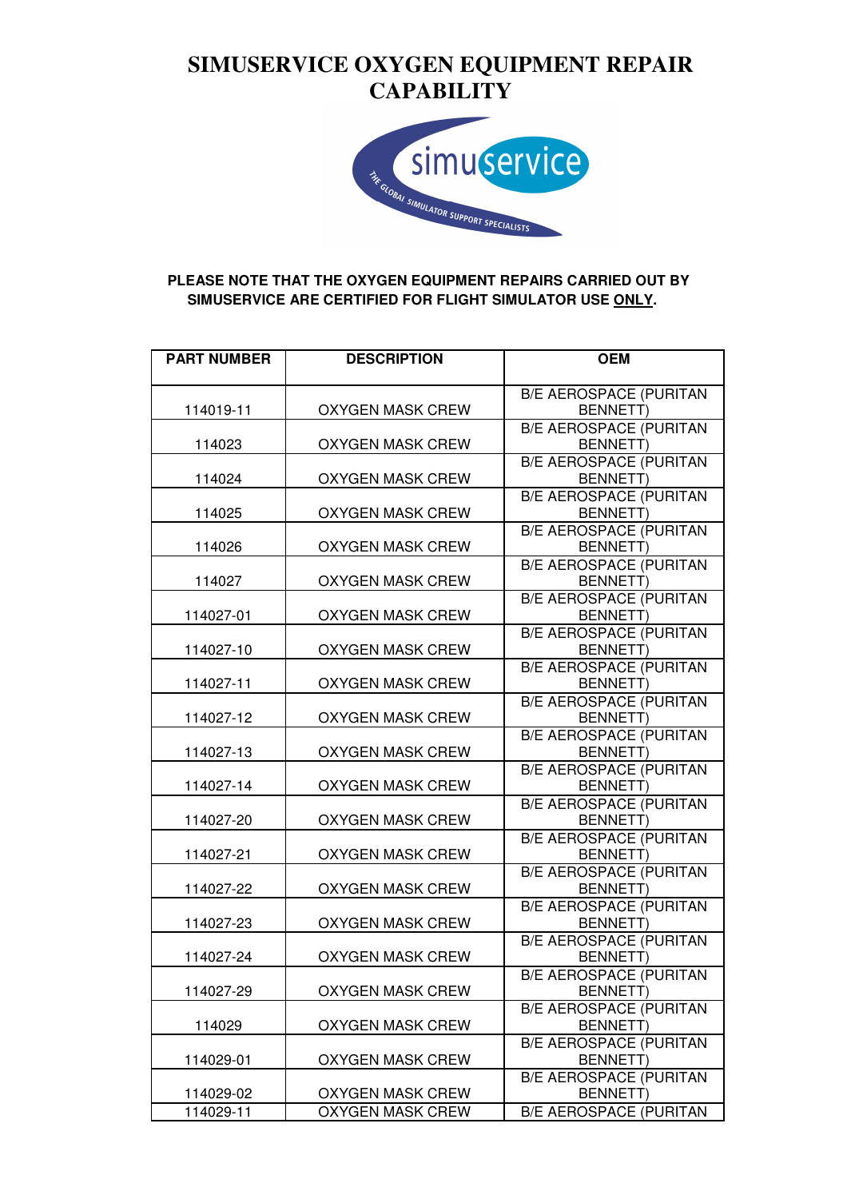

#### **PLEASE NOTE THAT THE OXYGEN EQUIPMENT REPAIRS CARRIED OUT BY SIMUSERVICE ARE CERTIFIED FOR FLIGHT SIMULATOR USE ONLY.**

| <b>PART NUMBER</b> | <b>DESCRIPTION</b>      | <b>OEM</b>                                       |
|--------------------|-------------------------|--------------------------------------------------|
|                    |                         |                                                  |
| 114019-11          | <b>OXYGEN MASK CREW</b> | <b>B/E AEROSPACE (PURITAN</b><br><b>BENNETT)</b> |
| 114023             | <b>OXYGEN MASK CREW</b> | <b>B/E AEROSPACE (PURITAN</b><br><b>BENNETT)</b> |
| 114024             | OXYGEN MASK CREW        | <b>B/E AEROSPACE (PURITAN</b><br>BENNETT)        |
| 114025             | OXYGEN MASK CREW        | <b>B/E AEROSPACE (PURITAN</b><br>BENNETT)        |
| 114026             | OXYGEN MASK CREW        | <b>B/E AEROSPACE (PURITAN</b><br>BENNETT)        |
| 114027             | OXYGEN MASK CREW        | <b>B/E AEROSPACE (PURITAN</b><br>BENNETT)        |
| 114027-01          | OXYGEN MASK CREW        | <b>B/E AEROSPACE (PURITAN</b><br>BENNETT)        |
| 114027-10          | OXYGEN MASK CREW        | <b>B/E AEROSPACE (PURITAN</b><br>BENNETT)        |
| 114027-11          | OXYGEN MASK CREW        | <b>B/E AEROSPACE (PURITAN</b><br>BENNETT)        |
| 114027-12          | OXYGEN MASK CREW        | <b>B/E AEROSPACE (PURITAN</b><br>BENNETT)        |
| 114027-13          | OXYGEN MASK CREW        | <b>B/E AEROSPACE (PURITAN</b><br><b>BENNETT)</b> |
| 114027-14          | OXYGEN MASK CREW        | <b>B/E AEROSPACE (PURITAN</b><br><b>BENNETT)</b> |
| 114027-20          | <b>OXYGEN MASK CREW</b> | <b>B/E AEROSPACE (PURITAN</b><br><b>BENNETT)</b> |
| 114027-21          | OXYGEN MASK CREW        | <b>B/E AEROSPACE (PURITAN</b><br><b>BENNETT)</b> |
| 114027-22          | <b>OXYGEN MASK CREW</b> | <b>B/E AEROSPACE (PURITAN</b><br><b>BENNETT)</b> |
| 114027-23          | OXYGEN MASK CREW        | <b>B/E AEROSPACE (PURITAN</b><br><b>BENNETT)</b> |
| 114027-24          | <b>OXYGEN MASK CREW</b> | <b>B/E AEROSPACE (PURITAN</b><br><b>BENNETT)</b> |
| 114027-29          | <b>OXYGEN MASK CREW</b> | <b>B/E AEROSPACE (PURITAN</b><br>BENNETT)        |
| 114029             | <b>OXYGEN MASK CREW</b> | <b>B/E AEROSPACE (PURITAN</b><br><b>BENNETT)</b> |
| 114029-01          | OXYGEN MASK CREW        | <b>B/E AEROSPACE (PURITAN</b><br><b>BENNETT)</b> |
| 114029-02          | <b>OXYGEN MASK CREW</b> | <b>B/E AEROSPACE (PURITAN</b><br><b>BENNETT)</b> |
| 114029-11          | OXYGEN MASK CREW        | <b>B/E AEROSPACE (PURITAN</b>                    |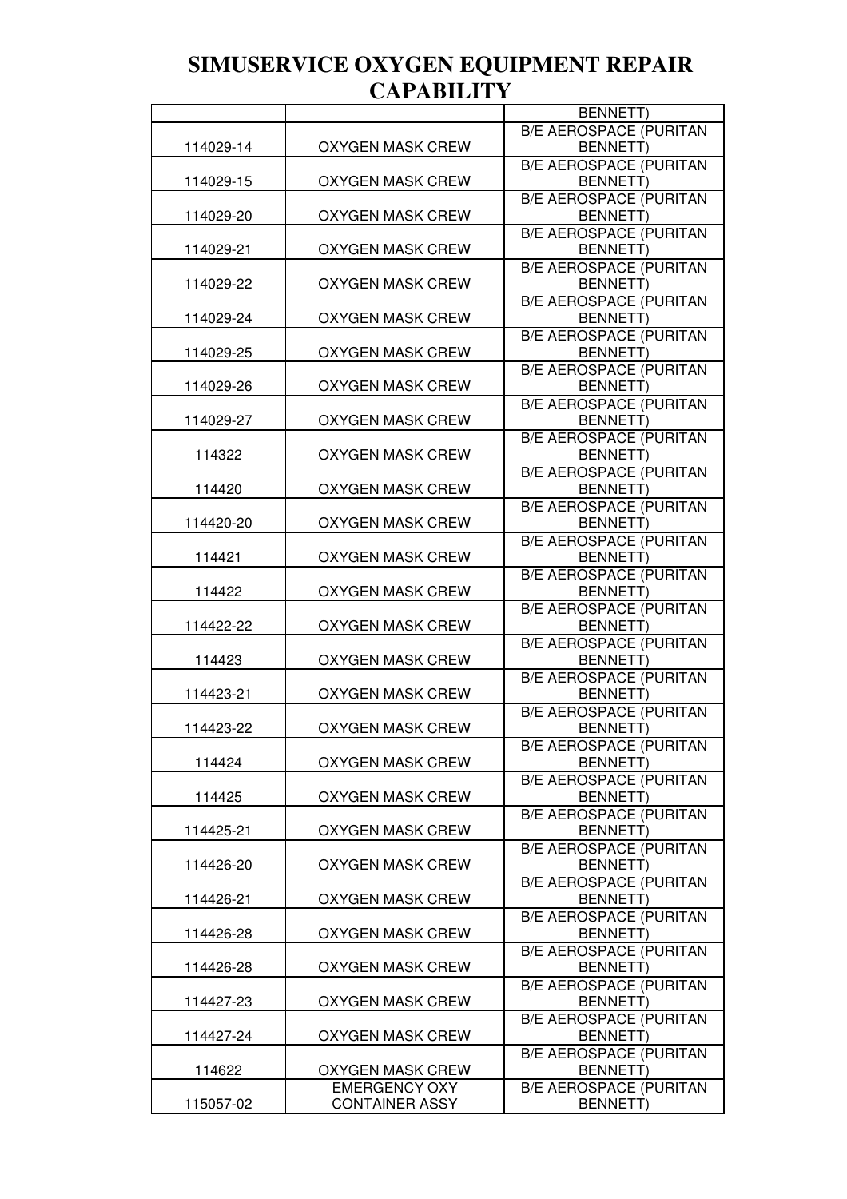|           |                                               | <b>BENNETT)</b>                                  |
|-----------|-----------------------------------------------|--------------------------------------------------|
| 114029-14 | <b>OXYGEN MASK CREW</b>                       | <b>B/E AEROSPACE (PURITAN</b><br><b>BENNETT)</b> |
| 114029-15 | <b>OXYGEN MASK CREW</b>                       | <b>B/E AEROSPACE (PURITAN</b><br><b>BENNETT)</b> |
| 114029-20 | <b>OXYGEN MASK CREW</b>                       | <b>B/E AEROSPACE (PURITAN</b><br><b>BENNETT)</b> |
| 114029-21 | <b>OXYGEN MASK CREW</b>                       | <b>B/E AEROSPACE (PURITAN</b><br>BENNETT)        |
| 114029-22 | <b>OXYGEN MASK CREW</b>                       | <b>B/E AEROSPACE (PURITAN</b><br>BENNETT)        |
| 114029-24 | <b>OXYGEN MASK CREW</b>                       | <b>B/E AEROSPACE (PURITAN</b><br>BENNETT)        |
| 114029-25 | <b>OXYGEN MASK CREW</b>                       | <b>B/E AEROSPACE (PURITAN</b><br>BENNETT)        |
|           |                                               | <b>B/E AEROSPACE (PURITAN</b>                    |
| 114029-26 | <b>OXYGEN MASK CREW</b>                       | <b>BENNETT)</b><br><b>B/E AEROSPACE (PURITAN</b> |
| 114029-27 | <b>OXYGEN MASK CREW</b>                       | <b>BENNETT)</b><br><b>B/E AEROSPACE (PURITAN</b> |
| 114322    | <b>OXYGEN MASK CREW</b>                       | <b>BENNETT)</b><br><b>B/E AEROSPACE (PURITAN</b> |
| 114420    | <b>OXYGEN MASK CREW</b>                       | <b>BENNETT)</b><br><b>B/E AEROSPACE (PURITAN</b> |
| 114420-20 | <b>OXYGEN MASK CREW</b>                       | <b>BENNETT)</b><br><b>B/E AEROSPACE (PURITAN</b> |
| 114421    | <b>OXYGEN MASK CREW</b>                       | <b>BENNETT)</b><br><b>B/E AEROSPACE (PURITAN</b> |
| 114422    | <b>OXYGEN MASK CREW</b>                       | <b>BENNETT)</b>                                  |
| 114422-22 | <b>OXYGEN MASK CREW</b>                       | <b>B/E AEROSPACE (PURITAN</b><br><b>BENNETT)</b> |
| 114423    | <b>OXYGEN MASK CREW</b>                       | <b>B/E AEROSPACE (PURITAN</b><br><b>BENNETT)</b> |
| 114423-21 | <b>OXYGEN MASK CREW</b>                       | <b>B/E AEROSPACE (PURITAN</b><br><b>BENNETT)</b> |
| 114423-22 | <b>OXYGEN MASK CREW</b>                       | <b>B/E AEROSPACE (PURITAN</b><br><b>BENNETT)</b> |
| 114424    | <b>OXYGEN MASK CREW</b>                       | <b>B/E AEROSPACE (PURITAN</b><br><b>BENNETT)</b> |
| 114425    | <b>OXYGEN MASK CREW</b>                       | <b>B/E AEROSPACE (PURITAN</b><br><b>BENNETT)</b> |
| 114425-21 | <b>OXYGEN MASK CREW</b>                       | <b>B/E AEROSPACE (PURITAN</b><br><b>BENNETT)</b> |
| 114426-20 | <b>OXYGEN MASK CREW</b>                       | <b>B/E AEROSPACE (PURITAN</b><br><b>BENNETT)</b> |
| 114426-21 | <b>OXYGEN MASK CREW</b>                       | <b>B/E AEROSPACE (PURITAN</b><br><b>BENNETT)</b> |
| 114426-28 | <b>OXYGEN MASK CREW</b>                       | <b>B/E AEROSPACE (PURITAN</b><br><b>BENNETT)</b> |
| 114426-28 | <b>OXYGEN MASK CREW</b>                       | <b>B/E AEROSPACE (PURITAN</b><br><b>BENNETT)</b> |
| 114427-23 | <b>OXYGEN MASK CREW</b>                       | <b>B/E AEROSPACE (PURITAN</b><br><b>BENNETT)</b> |
| 114427-24 | <b>OXYGEN MASK CREW</b>                       | <b>B/E AEROSPACE (PURITAN</b><br><b>BENNETT)</b> |
| 114622    | <b>OXYGEN MASK CREW</b>                       | <b>B/E AEROSPACE (PURITAN</b><br><b>BENNETT)</b> |
| 115057-02 | <b>EMERGENCY OXY</b><br><b>CONTAINER ASSY</b> | <b>B/E AEROSPACE (PURITAN</b><br><b>BENNETT)</b> |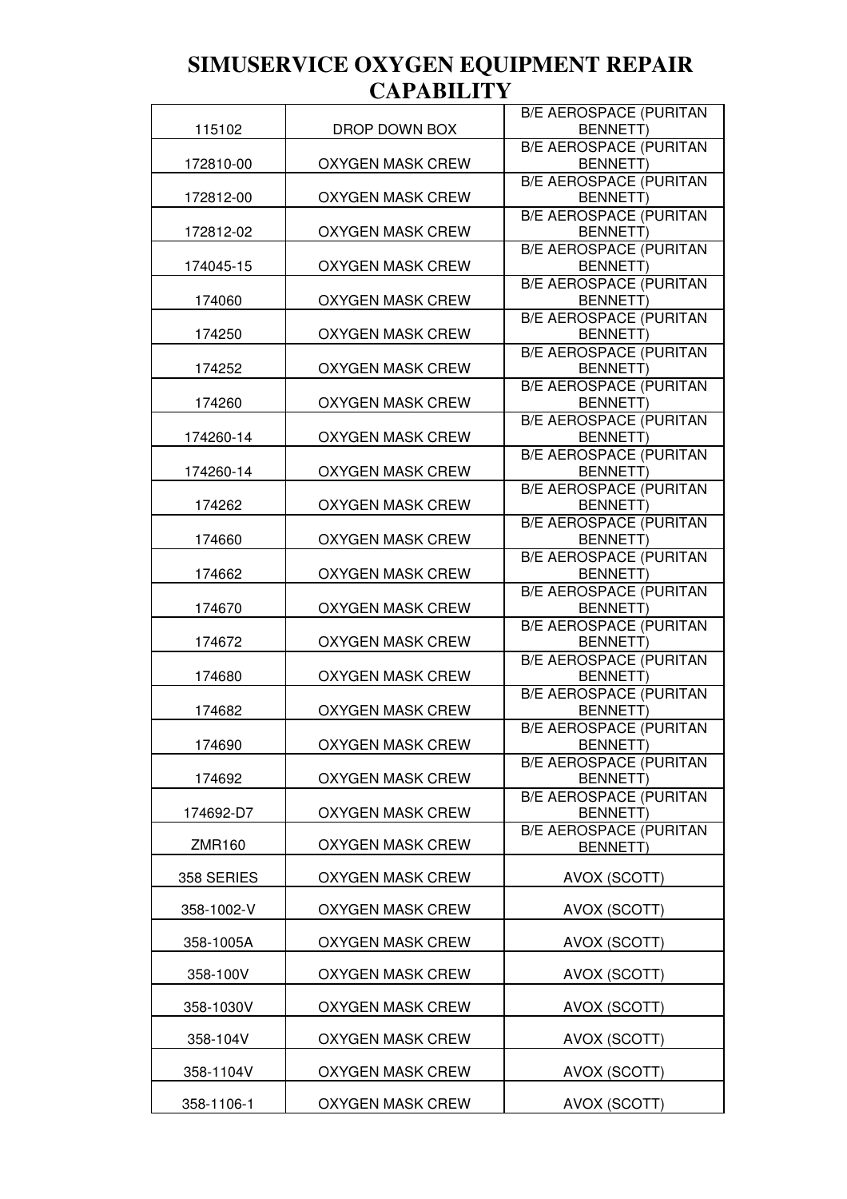| 115102     | DROP DOWN BOX           | <b>B/E AEROSPACE (PURITAN</b><br><b>BENNETT)</b>  |
|------------|-------------------------|---------------------------------------------------|
| 172810-00  | OXYGEN MASK CREW        | <b>B/E AEROSPACE (PURITAN</b><br><b>BENNETT)</b>  |
| 172812-00  | OXYGEN MASK CREW        | <b>B/E AEROSPACE (PURITAN</b><br><b>BENNETT)</b>  |
| 172812-02  | OXYGEN MASK CREW        | <b>B/E AEROSPACE (PURITAN</b><br><b>BENNETT)</b>  |
| 174045-15  | OXYGEN MASK CREW        | <b>B/E AEROSPACE (PURITAN</b><br><b>BENNETT)</b>  |
|            |                         | <b>B/E AEROSPACE (PURITAN</b>                     |
| 174060     | <b>OXYGEN MASK CREW</b> | <b>BENNETT)</b><br><b>B/E AEROSPACE (PURITAN</b>  |
| 174250     | OXYGEN MASK CREW        | <b>BENNETT)</b><br><b>B/E AEROSPACE (PURITAN</b>  |
| 174252     | OXYGEN MASK CREW        | <b>BENNETT)</b><br><b>B/E AEROSPACE (PURITAN</b>  |
| 174260     | <b>OXYGEN MASK CREW</b> | BENNETT)<br><b>B/E AEROSPACE (PURITAN</b>         |
| 174260-14  | <b>OXYGEN MASK CREW</b> | BENNETT)                                          |
| 174260-14  | <b>OXYGEN MASK CREW</b> | <b>B/E AEROSPACE (PURITAN</b><br>BENNETT)         |
| 174262     | <b>OXYGEN MASK CREW</b> | <b>B/E AEROSPACE (PURITAN</b><br>BENNETT)         |
| 174660     | <b>OXYGEN MASK CREW</b> | <b>B/E AEROSPACE (PURITAN</b><br><b>BENNETT)</b>  |
| 174662     | <b>OXYGEN MASK CREW</b> | <b>B/E AEROSPACE (PURITAN</b><br><b>BENNETT)</b>  |
| 174670     | <b>OXYGEN MASK CREW</b> | <b>B/E AEROSPACE (PURITAN</b><br><b>BENNETT)</b>  |
| 174672     | OXYGEN MASK CREW        | <b>B/E AEROSPACE (PURITAN</b><br><b>BENNETT)</b>  |
| 174680     | OXYGEN MASK CREW        | <b>B/E AEROSPACE (PURITAN</b><br><b>BENNETT)</b>  |
| 174682     | OXYGEN MASK CREW        | <b>B/E AEROSPACE (PURITAN</b><br><b>BENNETT)</b>  |
| 174690     | OXYGEN MASK CREW        | <b>B/E AEROSPACE (PURITAN</b><br><b>BENNETT</b> ) |
| 174692     | <b>OXYGEN MASK CREW</b> | <b>B/E AEROSPACE (PURITAN</b><br><b>BENNETT)</b>  |
| 174692-D7  | OXYGEN MASK CREW        | <b>B/E AEROSPACE (PURITAN</b><br><b>BENNETT)</b>  |
| ZMR160     | OXYGEN MASK CREW        | <b>B/E AEROSPACE (PURITAN</b><br><b>BENNETT)</b>  |
| 358 SERIES | <b>OXYGEN MASK CREW</b> | AVOX (SCOTT)                                      |
| 358-1002-V | OXYGEN MASK CREW        | AVOX (SCOTT)                                      |
| 358-1005A  | OXYGEN MASK CREW        | AVOX (SCOTT)                                      |
| 358-100V   | OXYGEN MASK CREW        | AVOX (SCOTT)                                      |
| 358-1030V  | <b>OXYGEN MASK CREW</b> | AVOX (SCOTT)                                      |
| 358-104V   | <b>OXYGEN MASK CREW</b> | AVOX (SCOTT)                                      |
| 358-1104V  | OXYGEN MASK CREW        | AVOX (SCOTT)                                      |
| 358-1106-1 | <b>OXYGEN MASK CREW</b> | AVOX (SCOTT)                                      |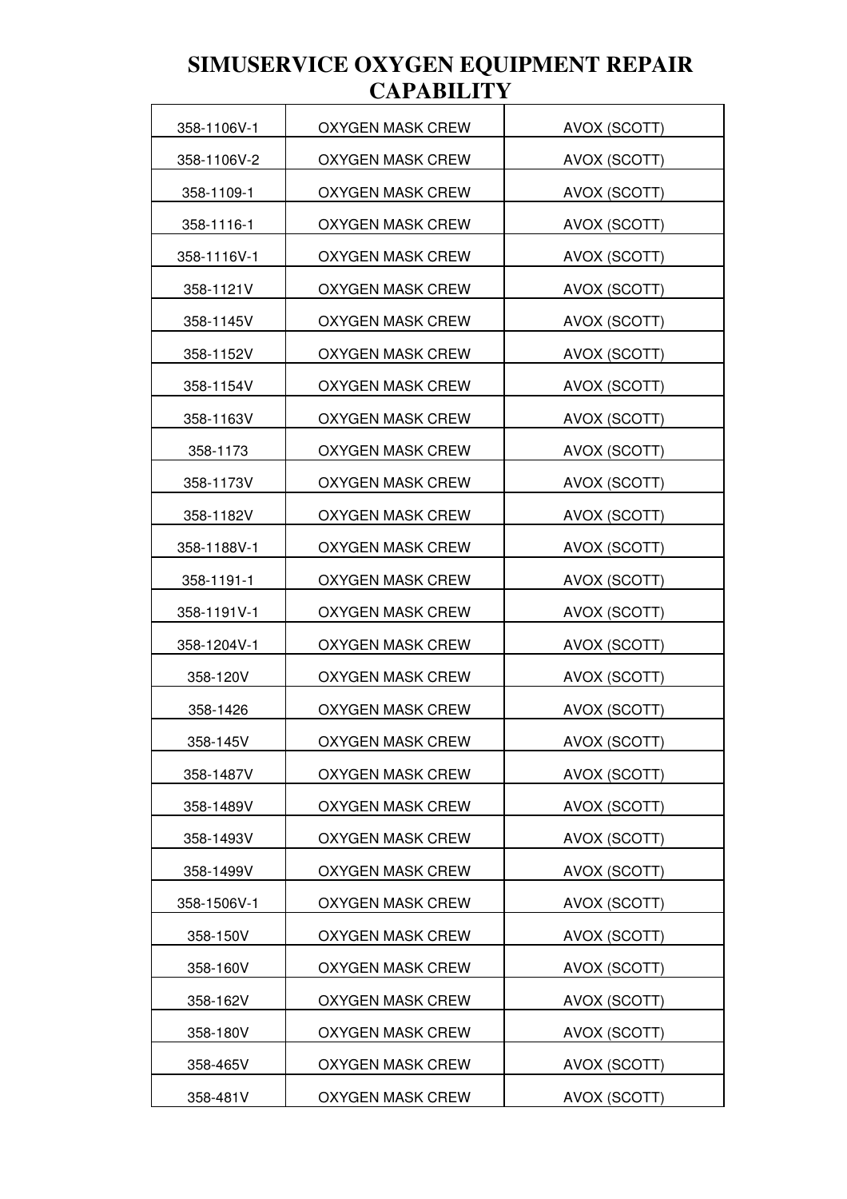| 358-1106V-1 | <b>OXYGEN MASK CREW</b> | AVOX (SCOTT) |
|-------------|-------------------------|--------------|
| 358-1106V-2 | <b>OXYGEN MASK CREW</b> | AVOX (SCOTT) |
| 358-1109-1  | <b>OXYGEN MASK CREW</b> | AVOX (SCOTT) |
| 358-1116-1  | OXYGEN MASK CREW        | AVOX (SCOTT) |
| 358-1116V-1 | <b>OXYGEN MASK CREW</b> | AVOX (SCOTT) |
| 358-1121V   | <b>OXYGEN MASK CREW</b> | AVOX (SCOTT) |
| 358-1145V   | <b>OXYGEN MASK CREW</b> | AVOX (SCOTT) |
| 358-1152V   | OXYGEN MASK CREW        | AVOX (SCOTT) |
| 358-1154V   | <b>OXYGEN MASK CREW</b> | AVOX (SCOTT) |
| 358-1163V   | <b>OXYGEN MASK CREW</b> | AVOX (SCOTT) |
| 358-1173    | <b>OXYGEN MASK CREW</b> | AVOX (SCOTT) |
| 358-1173V   | <b>OXYGEN MASK CREW</b> | AVOX (SCOTT) |
| 358-1182V   | <b>OXYGEN MASK CREW</b> | AVOX (SCOTT) |
| 358-1188V-1 | <b>OXYGEN MASK CREW</b> | AVOX (SCOTT) |
| 358-1191-1  | <b>OXYGEN MASK CREW</b> | AVOX (SCOTT) |
| 358-1191V-1 | <b>OXYGEN MASK CREW</b> | AVOX (SCOTT) |
| 358-1204V-1 | OXYGEN MASK CREW        | AVOX (SCOTT) |
| 358-120V    | OXYGEN MASK CREW        | AVOX (SCOTT) |
| 358-1426    | <b>OXYGEN MASK CREW</b> | AVOX (SCOTT) |
| 358-145V    | OXYGEN MASK CREW        | AVOX (SCOTT) |
| 358-1487V   | <b>OXYGEN MASK CREW</b> | AVOX (SCOTT) |
| 358-1489V   | <b>OXYGEN MASK CREW</b> | AVOX (SCOTT) |
| 358-1493V   | <b>OXYGEN MASK CREW</b> | AVOX (SCOTT) |
| 358-1499V   | <b>OXYGEN MASK CREW</b> | AVOX (SCOTT) |
| 358-1506V-1 | <b>OXYGEN MASK CREW</b> | AVOX (SCOTT) |
| 358-150V    | OXYGEN MASK CREW        | AVOX (SCOTT) |
| 358-160V    | <b>OXYGEN MASK CREW</b> | AVOX (SCOTT) |
| 358-162V    | <b>OXYGEN MASK CREW</b> | AVOX (SCOTT) |
| 358-180V    | <b>OXYGEN MASK CREW</b> | AVOX (SCOTT) |
| 358-465V    | <b>OXYGEN MASK CREW</b> | AVOX (SCOTT) |
| 358-481V    | OXYGEN MASK CREW        | AVOX (SCOTT) |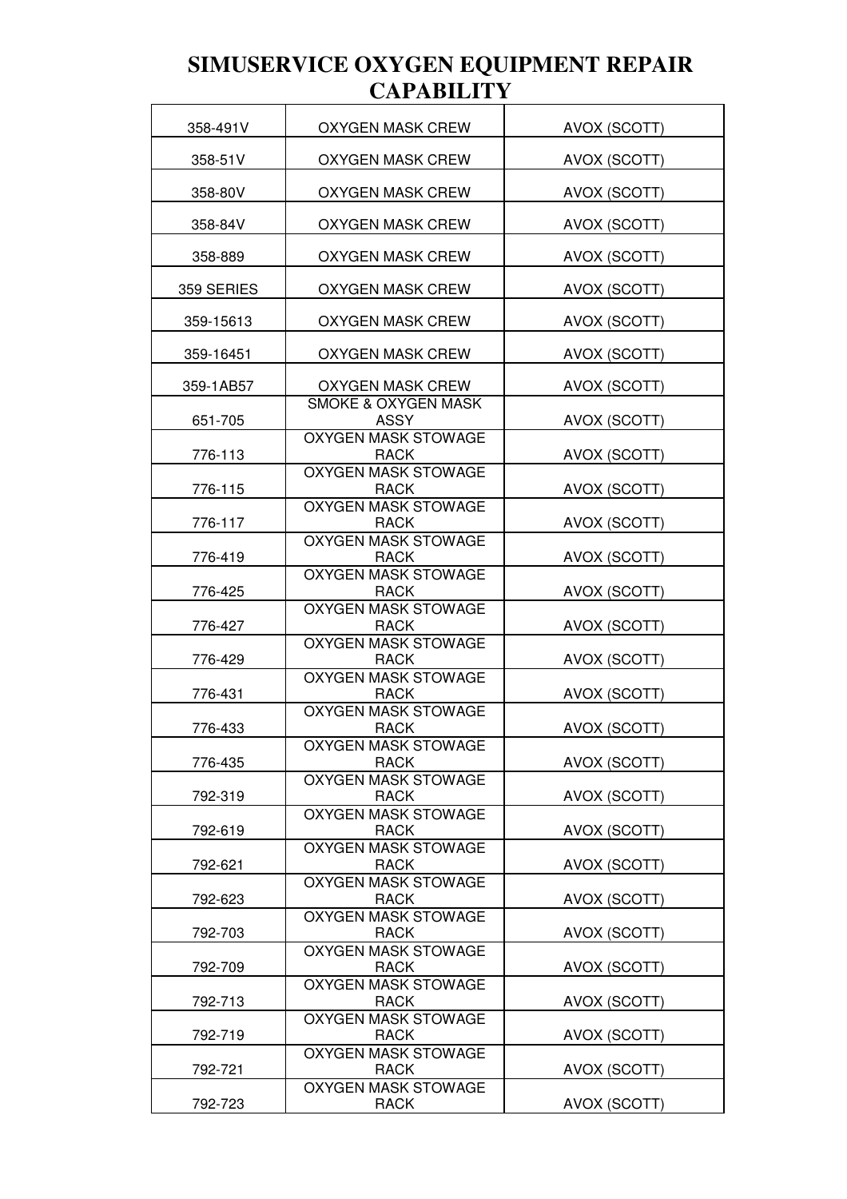| 358-491V   | OXYGEN MASK CREW                              | AVOX (SCOTT) |
|------------|-----------------------------------------------|--------------|
| 358-51V    | OXYGEN MASK CREW                              | AVOX (SCOTT) |
| 358-80V    | OXYGEN MASK CREW                              | AVOX (SCOTT) |
| 358-84V    | OXYGEN MASK CREW                              | AVOX (SCOTT) |
| 358-889    | OXYGEN MASK CREW                              | AVOX (SCOTT) |
| 359 SERIES | OXYGEN MASK CREW                              | AVOX (SCOTT) |
| 359-15613  | OXYGEN MASK CREW                              | AVOX (SCOTT) |
| 359-16451  | OXYGEN MASK CREW                              | AVOX (SCOTT) |
| 359-1AB57  | <b>OXYGEN MASK CREW</b>                       | AVOX (SCOTT) |
| 651-705    | <b>SMOKE &amp; OXYGEN MASK</b><br><b>ASSY</b> | AVOX (SCOTT) |
| 776-113    | <b>OXYGEN MASK STOWAGE</b><br>RACK            | AVOX (SCOTT) |
| 776-115    | <b>OXYGEN MASK STOWAGE</b><br>RACK            | AVOX (SCOTT) |
| 776-117    | <b>OXYGEN MASK STOWAGE</b><br>RACK            | AVOX (SCOTT) |
| 776-419    | <b>OXYGEN MASK STOWAGE</b><br>RACK            | AVOX (SCOTT) |
| 776-425    | <b>OXYGEN MASK STOWAGE</b><br>RACK            | AVOX (SCOTT) |
| 776-427    | <b>OXYGEN MASK STOWAGE</b><br>RACK            | AVOX (SCOTT) |
|            | <b>OXYGEN MASK STOWAGE</b>                    |              |
| 776-429    | RACK<br><b>OXYGEN MASK STOWAGE</b>            | AVOX (SCOTT) |
| 776-431    | RACK<br><b>OXYGEN MASK STOWAGE</b>            | AVOX (SCOTT) |
| 776-433    | RACK<br>OXYGEN MASK STOWAGE                   | AVOX (SCOTT) |
| 776-435    | <b>RACK</b><br><b>OXYGEN MASK STOWAGE</b>     | AVOX (SCOTT) |
| 792-319    | RACK<br><b>OXYGEN MASK STOWAGE</b>            | AVOX (SCOTT) |
| 792-619    | RACK<br><b>OXYGEN MASK STOWAGE</b>            | AVOX (SCOTT) |
| 792-621    | RACK<br><b>OXYGEN MASK STOWAGE</b>            | AVOX (SCOTT) |
| 792-623    | <b>RACK</b><br><b>OXYGEN MASK STOWAGE</b>     | AVOX (SCOTT) |
| 792-703    | RACK                                          | AVOX (SCOTT) |
| 792-709    | <b>OXYGEN MASK STOWAGE</b><br>RACK            | AVOX (SCOTT) |
| 792-713    | <b>OXYGEN MASK STOWAGE</b><br>RACK            | AVOX (SCOTT) |
| 792-719    | <b>OXYGEN MASK STOWAGE</b><br>RACK            | AVOX (SCOTT) |
| 792-721    | <b>OXYGEN MASK STOWAGE</b><br>RACK            | AVOX (SCOTT) |
| 792-723    | OXYGEN MASK STOWAGE<br>RACK                   | AVOX (SCOTT) |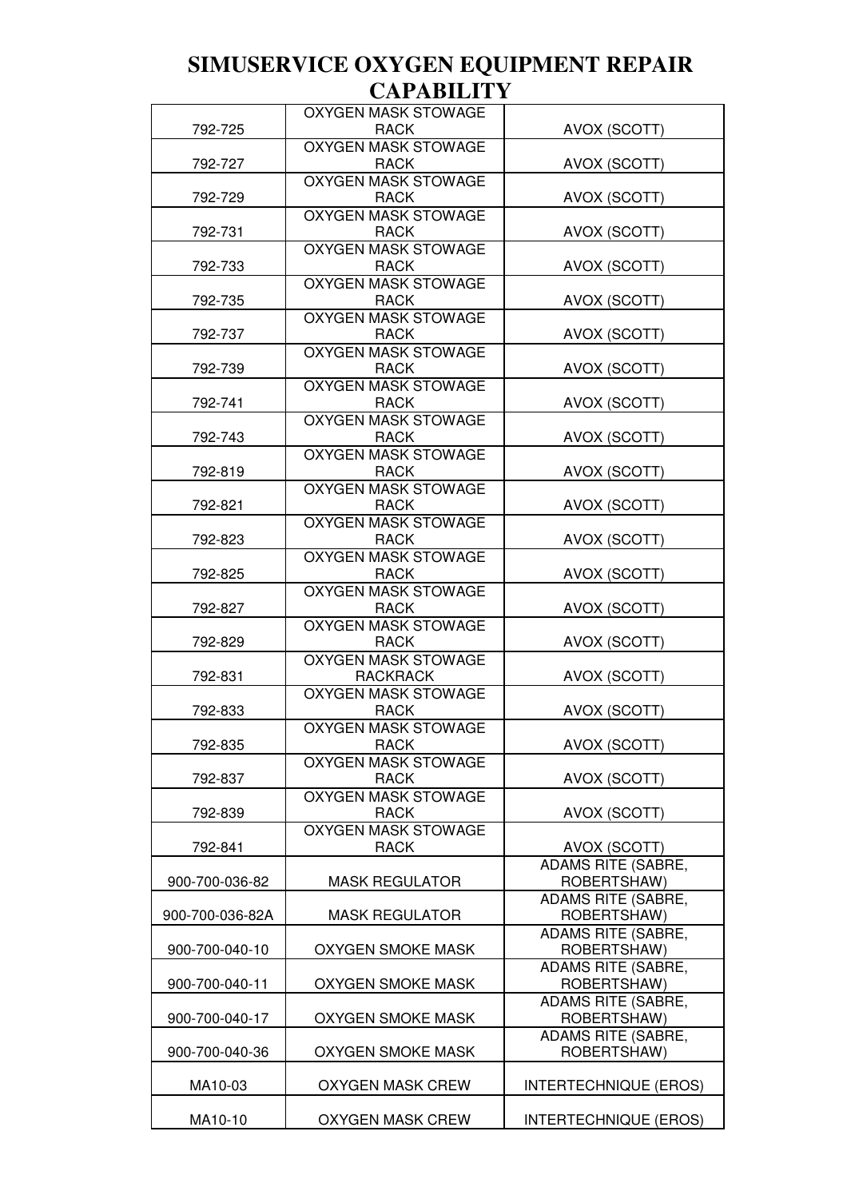| 792-725         | OXYGEN MASK STOWAGE<br>RACK               | AVOX (SCOTT)                      |
|-----------------|-------------------------------------------|-----------------------------------|
|                 | OXYGEN MASK STOWAGE                       |                                   |
| 792-727         | RACK                                      | AVOX (SCOTT)                      |
|                 | <b>OXYGEN MASK STOWAGE</b>                |                                   |
| 792-729         | RACK                                      | AVOX (SCOTT)                      |
|                 | OXYGEN MASK STOWAGE                       |                                   |
| 792-731         | RACK                                      | AVOX (SCOTT)                      |
|                 | OXYGEN MASK STOWAGE                       |                                   |
| 792-733         | RACK                                      | AVOX (SCOTT)                      |
|                 | <b>OXYGEN MASK STOWAGE</b>                |                                   |
| 792-735         | <b>RACK</b>                               | AVOX (SCOTT)                      |
| 792-737         | OXYGEN MASK STOWAGE<br>RACK               |                                   |
|                 | OXYGEN MASK STOWAGE                       | AVOX (SCOTT)                      |
| 792-739         | RACK                                      | AVOX (SCOTT)                      |
|                 | <b>OXYGEN MASK STOWAGE</b>                |                                   |
| 792-741         | RACK                                      | AVOX (SCOTT)                      |
|                 | OXYGEN MASK STOWAGE                       |                                   |
| 792-743         | RACK                                      | AVOX (SCOTT)                      |
|                 | OXYGEN MASK STOWAGE                       |                                   |
| 792-819         | RACK                                      | AVOX (SCOTT)                      |
|                 | OXYGEN MASK STOWAGE                       |                                   |
| 792-821         | RACK                                      | AVOX (SCOTT)                      |
| 792-823         | OXYGEN MASK STOWAGE<br>RACK               |                                   |
|                 | OXYGEN MASK STOWAGE                       | AVOX (SCOTT)                      |
| 792-825         | RACK                                      | AVOX (SCOTT)                      |
|                 | OXYGEN MASK STOWAGE                       |                                   |
| 792-827         | RACK                                      | AVOX (SCOTT)                      |
|                 | OXYGEN MASK STOWAGE                       |                                   |
| 792-829         | RACK                                      | AVOX (SCOTT)                      |
|                 | OXYGEN MASK STOWAGE                       |                                   |
| 792-831         | <b>RACKRACK</b>                           | AVOX (SCOTT)                      |
|                 | OXYGEN MASK STOWAGE                       |                                   |
| 792-833         | <b>RACK</b><br><b>OXYGEN MASK STOWAGE</b> | AVOX (SCOTT)                      |
| 792-835         | <b>RACK</b>                               | AVOX (SCOTT)                      |
|                 | <b>OXYGEN MASK STOWAGE</b>                |                                   |
| 792-837         | <b>RACK</b>                               | AVOX (SCOTT)                      |
|                 | OXYGEN MASK STOWAGE                       |                                   |
| 792-839         | RACK                                      | AVOX (SCOTT)                      |
|                 | OXYGEN MASK STOWAGE                       |                                   |
| 792-841         | RACK                                      | AVOX (SCOTT)                      |
|                 |                                           | ADAMS RITE (SABRE,                |
| 900-700-036-82  | <b>MASK REGULATOR</b>                     | ROBERTSHAW)<br>ADAMS RITE (SABRE, |
| 900-700-036-82A | <b>MASK REGULATOR</b>                     | ROBERTSHAW)                       |
|                 |                                           | ADAMS RITE (SABRE,                |
| 900-700-040-10  | OXYGEN SMOKE MASK                         | ROBERTSHAW)                       |
|                 |                                           | ADAMS RITE (SABRE,                |
| 900-700-040-11  | OXYGEN SMOKE MASK                         | ROBERTSHAW)                       |
|                 |                                           | ADAMS RITE (SABRE,                |
| 900-700-040-17  | OXYGEN SMOKE MASK                         | ROBERTSHAW)                       |
|                 |                                           | ADAMS RITE (SABRE,                |
| 900-700-040-36  | OXYGEN SMOKE MASK                         | ROBERTSHAW)                       |
| MA10-03         | <b>OXYGEN MASK CREW</b>                   | INTERTECHNIQUE (EROS)             |
|                 |                                           |                                   |
| MA10-10         | <b>OXYGEN MASK CREW</b>                   | <b>INTERTECHNIQUE (EROS)</b>      |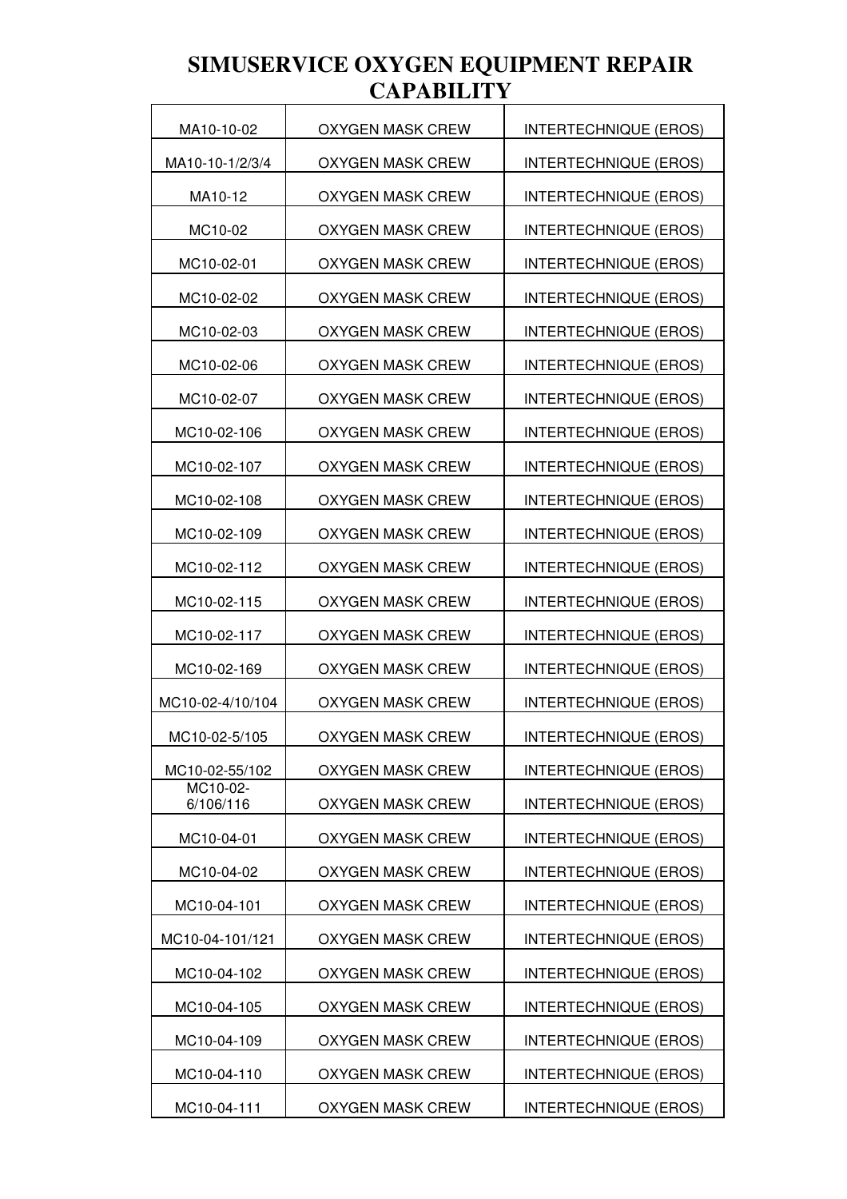| MA10-10-02            | <b>OXYGEN MASK CREW</b> | <b>INTERTECHNIQUE (EROS)</b> |
|-----------------------|-------------------------|------------------------------|
| MA10-10-1/2/3/4       | <b>OXYGEN MASK CREW</b> | <b>INTERTECHNIQUE (EROS)</b> |
| MA10-12               | <b>OXYGEN MASK CREW</b> | <b>INTERTECHNIQUE (EROS)</b> |
| MC10-02               | <b>OXYGEN MASK CREW</b> | <b>INTERTECHNIQUE (EROS)</b> |
| MC10-02-01            | <b>OXYGEN MASK CREW</b> | <b>INTERTECHNIQUE (EROS)</b> |
| MC10-02-02            | <b>OXYGEN MASK CREW</b> | <b>INTERTECHNIQUE (EROS)</b> |
| MC10-02-03            | <b>OXYGEN MASK CREW</b> | <b>INTERTECHNIQUE (EROS)</b> |
| MC10-02-06            | OXYGEN MASK CREW        | <b>INTERTECHNIQUE (EROS)</b> |
| MC10-02-07            | <b>OXYGEN MASK CREW</b> | <b>INTERTECHNIQUE (EROS)</b> |
| MC10-02-106           | <b>OXYGEN MASK CREW</b> | <b>INTERTECHNIQUE (EROS)</b> |
| MC10-02-107           | <b>OXYGEN MASK CREW</b> | <b>INTERTECHNIQUE (EROS)</b> |
| MC10-02-108           | <b>OXYGEN MASK CREW</b> | <b>INTERTECHNIQUE (EROS)</b> |
| MC10-02-109           | <b>OXYGEN MASK CREW</b> | <b>INTERTECHNIQUE (EROS)</b> |
| MC10-02-112           | <b>OXYGEN MASK CREW</b> | <b>INTERTECHNIQUE (EROS)</b> |
| MC10-02-115           | <b>OXYGEN MASK CREW</b> | INTERTECHNIQUE (EROS)        |
| MC10-02-117           | <b>OXYGEN MASK CREW</b> | <b>INTERTECHNIQUE (EROS)</b> |
| MC10-02-169           | <b>OXYGEN MASK CREW</b> | <b>INTERTECHNIQUE (EROS)</b> |
| MC10-02-4/10/104      | <b>OXYGEN MASK CREW</b> | <b>INTERTECHNIQUE (EROS)</b> |
| MC10-02-5/105         | <b>OXYGEN MASK CREW</b> | <b>INTERTECHNIQUE (EROS)</b> |
| MC10-02-55/102        | <b>OXYGEN MASK CREW</b> | <b>INTERTECHNIQUE (EROS)</b> |
| MC10-02-<br>6/106/116 | <b>OXYGEN MASK CREW</b> | <b>INTERTECHNIQUE (EROS)</b> |
| MC10-04-01            | <b>OXYGEN MASK CREW</b> | <b>INTERTECHNIQUE (EROS)</b> |
| MC10-04-02            | <b>OXYGEN MASK CREW</b> | <b>INTERTECHNIQUE (EROS)</b> |
| MC10-04-101           | <b>OXYGEN MASK CREW</b> | <b>INTERTECHNIQUE (EROS)</b> |
| MC10-04-101/121       | <b>OXYGEN MASK CREW</b> | <b>INTERTECHNIQUE (EROS)</b> |
| MC10-04-102           | <b>OXYGEN MASK CREW</b> | <b>INTERTECHNIQUE (EROS)</b> |
| MC10-04-105           | <b>OXYGEN MASK CREW</b> | <b>INTERTECHNIQUE (EROS)</b> |
| MC10-04-109           | <b>OXYGEN MASK CREW</b> | <b>INTERTECHNIQUE (EROS)</b> |
| MC10-04-110           | <b>OXYGEN MASK CREW</b> | <b>INTERTECHNIQUE (EROS)</b> |
| MC10-04-111           | OXYGEN MASK CREW        | INTERTECHNIQUE (EROS)        |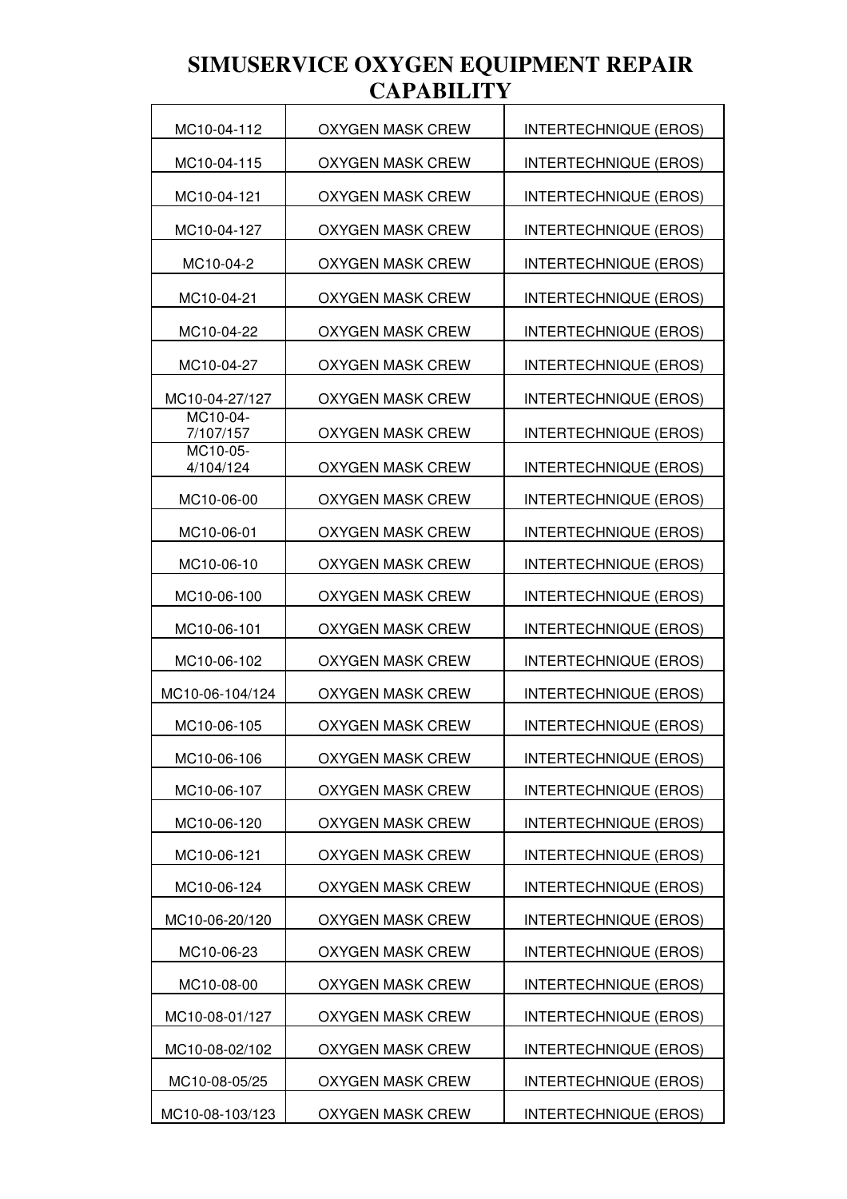| MC10-04-112           | <b>OXYGEN MASK CREW</b> | <b>INTERTECHNIQUE (EROS)</b> |
|-----------------------|-------------------------|------------------------------|
| MC10-04-115           | <b>OXYGEN MASK CREW</b> | <b>INTERTECHNIQUE (EROS)</b> |
| MC10-04-121           | <b>OXYGEN MASK CREW</b> | <b>INTERTECHNIQUE (EROS)</b> |
| MC10-04-127           | <b>OXYGEN MASK CREW</b> | <b>INTERTECHNIQUE (EROS)</b> |
| MC10-04-2             | OXYGEN MASK CREW        | <b>INTERTECHNIQUE (EROS)</b> |
| MC10-04-21            | <b>OXYGEN MASK CREW</b> | <b>INTERTECHNIQUE (EROS)</b> |
| MC10-04-22            | <b>OXYGEN MASK CREW</b> | <b>INTERTECHNIQUE (EROS)</b> |
| MC10-04-27            | <b>OXYGEN MASK CREW</b> | <b>INTERTECHNIQUE (EROS)</b> |
| MC10-04-27/127        | <b>OXYGEN MASK CREW</b> | <b>INTERTECHNIQUE (EROS)</b> |
| MC10-04-<br>7/107/157 | <b>OXYGEN MASK CREW</b> | <b>INTERTECHNIQUE (EROS)</b> |
| MC10-05-<br>4/104/124 | <b>OXYGEN MASK CREW</b> | <b>INTERTECHNIQUE (EROS)</b> |
| MC10-06-00            | <b>OXYGEN MASK CREW</b> | <b>INTERTECHNIQUE (EROS)</b> |
| MC10-06-01            | <b>OXYGEN MASK CREW</b> | <b>INTERTECHNIQUE (EROS)</b> |
| MC10-06-10            | <b>OXYGEN MASK CREW</b> | <b>INTERTECHNIQUE (EROS)</b> |
| MC10-06-100           | <b>OXYGEN MASK CREW</b> | <b>INTERTECHNIQUE (EROS)</b> |
| MC10-06-101           | OXYGEN MASK CREW        | <b>INTERTECHNIQUE (EROS)</b> |
| MC10-06-102           | OXYGEN MASK CREW        | <b>INTERTECHNIQUE (EROS)</b> |
| MC10-06-104/124       | <b>OXYGEN MASK CREW</b> | <b>INTERTECHNIQUE (EROS)</b> |
| MC10-06-105           | <b>OXYGEN MASK CREW</b> | <b>INTERTECHNIQUE (EROS)</b> |
| MC10-06-106           | <b>OXYGEN MASK CREW</b> | <b>INTERTECHNIQUE (EROS)</b> |
| MC10-06-107           | <b>OXYGEN MASK CREW</b> | <b>INTERTECHNIQUE (EROS)</b> |
| MC10-06-120           | OXYGEN MASK CREW        | <b>INTERTECHNIQUE (EROS)</b> |
| MC10-06-121           | OXYGEN MASK CREW        | <b>INTERTECHNIQUE (EROS)</b> |
| MC10-06-124           | OXYGEN MASK CREW        | <b>INTERTECHNIQUE (EROS)</b> |
| MC10-06-20/120        | <b>OXYGEN MASK CREW</b> | <b>INTERTECHNIQUE (EROS)</b> |
| MC10-06-23            | <b>OXYGEN MASK CREW</b> | <b>INTERTECHNIQUE (EROS)</b> |
| MC10-08-00            | <b>OXYGEN MASK CREW</b> | <b>INTERTECHNIQUE (EROS)</b> |
| MC10-08-01/127        | <b>OXYGEN MASK CREW</b> | <b>INTERTECHNIQUE (EROS)</b> |
| MC10-08-02/102        | <b>OXYGEN MASK CREW</b> | <b>INTERTECHNIQUE (EROS)</b> |
| MC10-08-05/25         | <b>OXYGEN MASK CREW</b> | <b>INTERTECHNIQUE (EROS)</b> |
| MC10-08-103/123       | <b>OXYGEN MASK CREW</b> | INTERTECHNIQUE (EROS)        |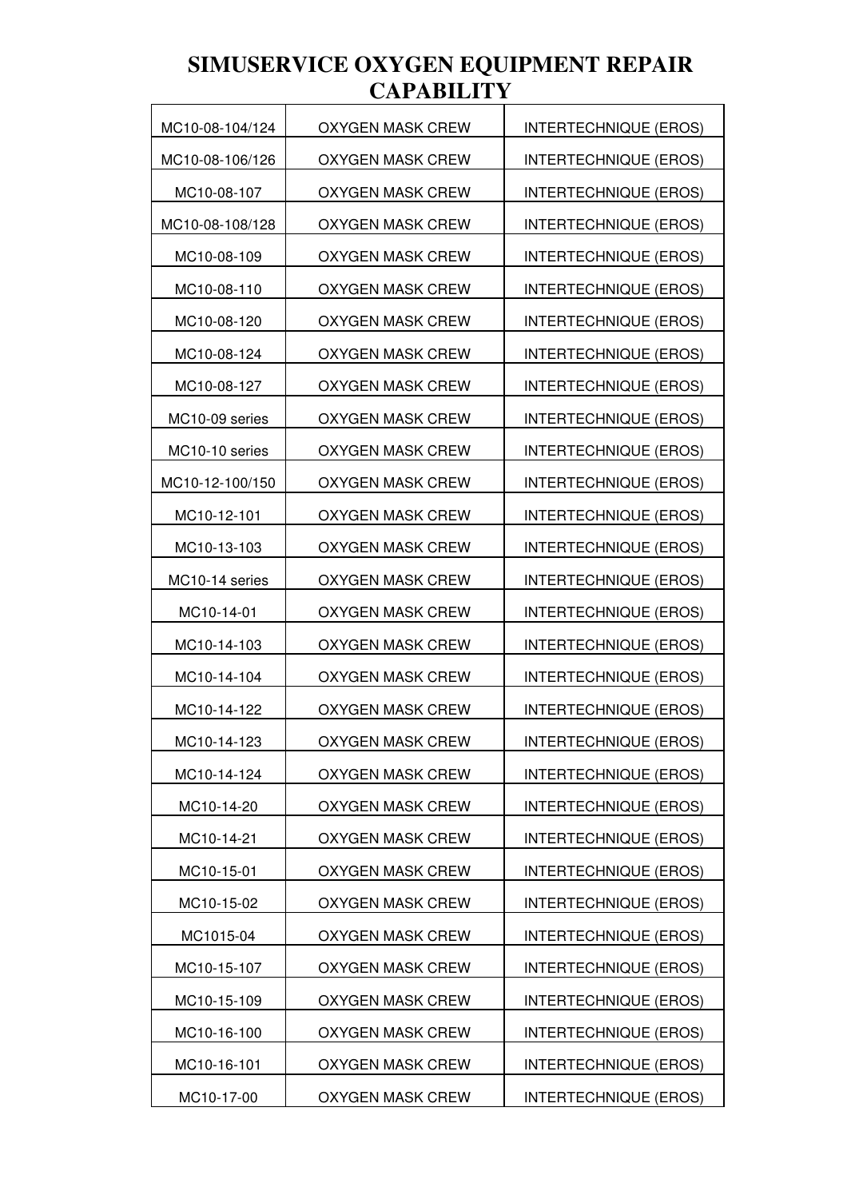| MC10-08-104/124 | <b>OXYGEN MASK CREW</b> | <b>INTERTECHNIQUE (EROS)</b> |
|-----------------|-------------------------|------------------------------|
| MC10-08-106/126 | OXYGEN MASK CREW        | <b>INTERTECHNIQUE (EROS)</b> |
| MC10-08-107     | <b>OXYGEN MASK CREW</b> | <b>INTERTECHNIQUE (EROS)</b> |
| MC10-08-108/128 | OXYGEN MASK CREW        | <b>INTERTECHNIQUE (EROS)</b> |
| MC10-08-109     | OXYGEN MASK CREW        | <b>INTERTECHNIQUE (EROS)</b> |
| MC10-08-110     | <b>OXYGEN MASK CREW</b> | <b>INTERTECHNIQUE (EROS)</b> |
| MC10-08-120     | <b>OXYGEN MASK CREW</b> | <b>INTERTECHNIQUE (EROS)</b> |
| MC10-08-124     | OXYGEN MASK CREW        | <b>INTERTECHNIQUE (EROS)</b> |
| MC10-08-127     | <b>OXYGEN MASK CREW</b> | <b>INTERTECHNIQUE (EROS)</b> |
| MC10-09 series  | <b>OXYGEN MASK CREW</b> | <b>INTERTECHNIQUE (EROS)</b> |
| MC10-10 series  | OXYGEN MASK CREW        | <b>INTERTECHNIQUE (EROS)</b> |
| MC10-12-100/150 | <b>OXYGEN MASK CREW</b> | <b>INTERTECHNIQUE (EROS)</b> |
| MC10-12-101     | <b>OXYGEN MASK CREW</b> | <b>INTERTECHNIQUE (EROS)</b> |
| MC10-13-103     | OXYGEN MASK CREW        | <b>INTERTECHNIQUE (EROS)</b> |
| MC10-14 series  | OXYGEN MASK CREW        | <b>INTERTECHNIQUE (EROS)</b> |
| MC10-14-01      | OXYGEN MASK CREW        | <b>INTERTECHNIQUE (EROS)</b> |
| MC10-14-103     | <b>OXYGEN MASK CREW</b> | <b>INTERTECHNIQUE (EROS)</b> |
| MC10-14-104     | <b>OXYGEN MASK CREW</b> | <b>INTERTECHNIQUE (EROS)</b> |
| MC10-14-122     | <b>OXYGEN MASK CREW</b> | <b>INTERTECHNIQUE (EROS)</b> |
| MC10-14-123     | OXYGEN MASK CREW        | INTERTECHNIQUE (EROS)        |
| MC10-14-124     | <b>OXYGEN MASK CREW</b> | <b>INTERTECHNIQUE (EROS)</b> |
| MC10-14-20      | <b>OXYGEN MASK CREW</b> | <b>INTERTECHNIQUE (EROS)</b> |
| MC10-14-21      | OXYGEN MASK CREW        | <b>INTERTECHNIQUE (EROS)</b> |
| MC10-15-01      | OXYGEN MASK CREW        | <b>INTERTECHNIQUE (EROS)</b> |
| MC10-15-02      | <b>OXYGEN MASK CREW</b> | <b>INTERTECHNIQUE (EROS)</b> |
| MC1015-04       | OXYGEN MASK CREW        | <b>INTERTECHNIQUE (EROS)</b> |
| MC10-15-107     | <b>OXYGEN MASK CREW</b> | <b>INTERTECHNIQUE (EROS)</b> |
| MC10-15-109     | OXYGEN MASK CREW        | <b>INTERTECHNIQUE (EROS)</b> |
| MC10-16-100     | OXYGEN MASK CREW        | <b>INTERTECHNIQUE (EROS)</b> |
| MC10-16-101     | <b>OXYGEN MASK CREW</b> | <b>INTERTECHNIQUE (EROS)</b> |
| MC10-17-00      | OXYGEN MASK CREW        | <b>INTERTECHNIQUE (EROS)</b> |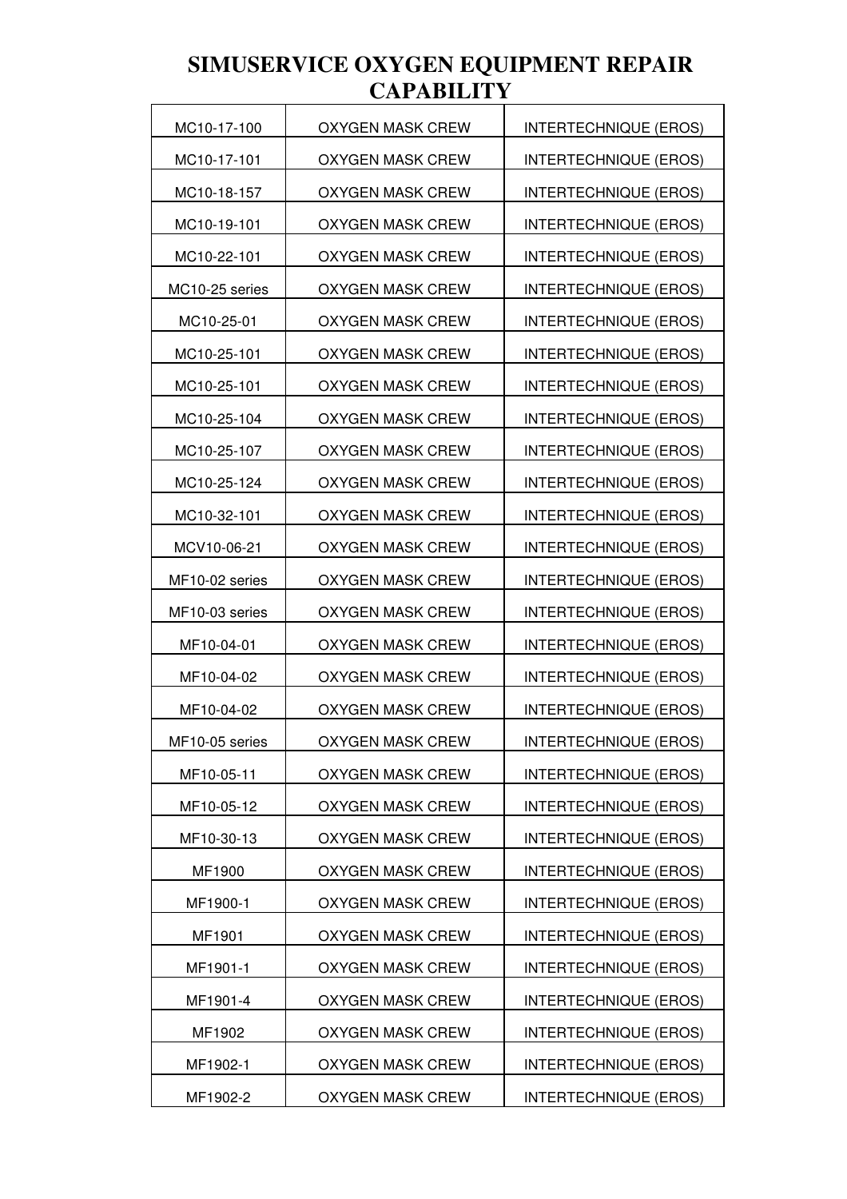| MC10-17-100    | <b>OXYGEN MASK CREW</b> | <b>INTERTECHNIQUE (EROS)</b> |
|----------------|-------------------------|------------------------------|
| MC10-17-101    | OXYGEN MASK CREW        | <b>INTERTECHNIQUE (EROS)</b> |
| MC10-18-157    | <b>OXYGEN MASK CREW</b> | <b>INTERTECHNIQUE (EROS)</b> |
| MC10-19-101    | <b>OXYGEN MASK CREW</b> | <b>INTERTECHNIQUE (EROS)</b> |
| MC10-22-101    | <b>OXYGEN MASK CREW</b> | <b>INTERTECHNIQUE (EROS)</b> |
| MC10-25 series | OXYGEN MASK CREW        | <b>INTERTECHNIQUE (EROS)</b> |
| MC10-25-01     | OXYGEN MASK CREW        | <b>INTERTECHNIQUE (EROS)</b> |
| MC10-25-101    | OXYGEN MASK CREW        | <b>INTERTECHNIQUE (EROS)</b> |
| MC10-25-101    | <b>OXYGEN MASK CREW</b> | <b>INTERTECHNIQUE (EROS)</b> |
| MC10-25-104    | OXYGEN MASK CREW        | <b>INTERTECHNIQUE (EROS)</b> |
| MC10-25-107    | OXYGEN MASK CREW        | <b>INTERTECHNIQUE (EROS)</b> |
| MC10-25-124    | <b>OXYGEN MASK CREW</b> | <b>INTERTECHNIQUE (EROS)</b> |
| MC10-32-101    | <b>OXYGEN MASK CREW</b> | <b>INTERTECHNIQUE (EROS)</b> |
| MCV10-06-21    | OXYGEN MASK CREW        | <b>INTERTECHNIQUE (EROS)</b> |
| MF10-02 series | OXYGEN MASK CREW        | <b>INTERTECHNIQUE (EROS)</b> |
| MF10-03 series | OXYGEN MASK CREW        | <b>INTERTECHNIQUE (EROS)</b> |
| MF10-04-01     | OXYGEN MASK CREW        | <b>INTERTECHNIQUE (EROS)</b> |
| MF10-04-02     | <b>OXYGEN MASK CREW</b> | <b>INTERTECHNIQUE (EROS)</b> |
| MF10-04-02     | <b>OXYGEN MASK CREW</b> | <b>INTERTECHNIQUE (EROS)</b> |
| MF10-05 series | OXYGEN MASK CREW        | INTERTECHNIQUE (EROS)        |
| MF10-05-11     | <b>OXYGEN MASK CREW</b> | <b>INTERTECHNIQUE (EROS)</b> |
| MF10-05-12     | <b>OXYGEN MASK CREW</b> | <b>INTERTECHNIQUE (EROS)</b> |
| MF10-30-13     | <b>OXYGEN MASK CREW</b> | <b>INTERTECHNIQUE (EROS)</b> |
| MF1900         | <b>OXYGEN MASK CREW</b> | <b>INTERTECHNIQUE (EROS)</b> |
| MF1900-1       | OXYGEN MASK CREW        | <b>INTERTECHNIQUE (EROS)</b> |
| MF1901         | OXYGEN MASK CREW        | <b>INTERTECHNIQUE (EROS)</b> |
| MF1901-1       | OXYGEN MASK CREW        | <b>INTERTECHNIQUE (EROS)</b> |
| MF1901-4       | <b>OXYGEN MASK CREW</b> | <b>INTERTECHNIQUE (EROS)</b> |
| MF1902         | <b>OXYGEN MASK CREW</b> | <b>INTERTECHNIQUE (EROS)</b> |
| MF1902-1       | <b>OXYGEN MASK CREW</b> | <b>INTERTECHNIQUE (EROS)</b> |
| MF1902-2       | OXYGEN MASK CREW        | <b>INTERTECHNIQUE (EROS)</b> |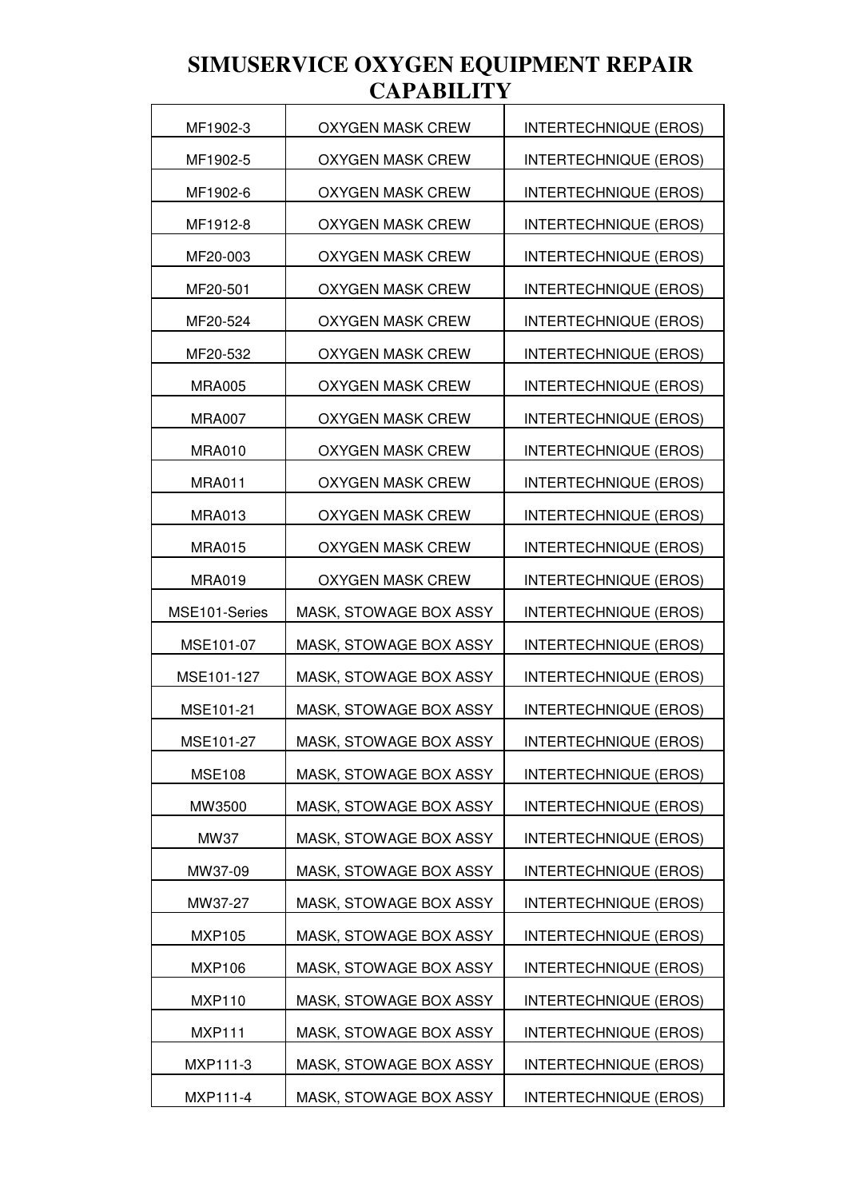| MF1902-3      | <b>OXYGEN MASK CREW</b> | <b>INTERTECHNIQUE (EROS)</b> |
|---------------|-------------------------|------------------------------|
| MF1902-5      | OXYGEN MASK CREW        | <b>INTERTECHNIQUE (EROS)</b> |
| MF1902-6      | <b>OXYGEN MASK CREW</b> | <b>INTERTECHNIQUE (EROS)</b> |
| MF1912-8      | <b>OXYGEN MASK CREW</b> | <b>INTERTECHNIQUE (EROS)</b> |
| MF20-003      | <b>OXYGEN MASK CREW</b> | <b>INTERTECHNIQUE (EROS)</b> |
| MF20-501      | <b>OXYGEN MASK CREW</b> | <b>INTERTECHNIQUE (EROS)</b> |
| MF20-524      | <b>OXYGEN MASK CREW</b> | <b>INTERTECHNIQUE (EROS)</b> |
| MF20-532      | OXYGEN MASK CREW        | <b>INTERTECHNIQUE (EROS)</b> |
| <b>MRA005</b> | <b>OXYGEN MASK CREW</b> | <b>INTERTECHNIQUE (EROS)</b> |
| <b>MRA007</b> | <b>OXYGEN MASK CREW</b> | <b>INTERTECHNIQUE (EROS)</b> |
| <b>MRA010</b> | <b>OXYGEN MASK CREW</b> | <b>INTERTECHNIQUE (EROS)</b> |
| <b>MRA011</b> | <b>OXYGEN MASK CREW</b> | <b>INTERTECHNIQUE (EROS)</b> |
| <b>MRA013</b> | <b>OXYGEN MASK CREW</b> | <b>INTERTECHNIQUE (EROS)</b> |
| <b>MRA015</b> | <b>OXYGEN MASK CREW</b> | <b>INTERTECHNIQUE (EROS)</b> |
| <b>MRA019</b> | <b>OXYGEN MASK CREW</b> | <b>INTERTECHNIQUE (EROS)</b> |
| MSE101-Series | MASK, STOWAGE BOX ASSY  | <b>INTERTECHNIQUE (EROS)</b> |
| MSE101-07     | MASK, STOWAGE BOX ASSY  | <b>INTERTECHNIQUE (EROS)</b> |
| MSE101-127    | MASK, STOWAGE BOX ASSY  | <b>INTERTECHNIQUE (EROS)</b> |
| MSE101-21     | MASK, STOWAGE BOX ASSY  | <b>INTERTECHNIQUE (EROS)</b> |
| MSE101-27     | MASK, STOWAGE BOX ASSY  | <b>INTERTECHNIQUE (EROS)</b> |
| <b>MSE108</b> | MASK, STOWAGE BOX ASSY  | <b>INTERTECHNIQUE (EROS)</b> |
| MW3500        | MASK, STOWAGE BOX ASSY  | <b>INTERTECHNIQUE (EROS)</b> |
| MW37          | MASK, STOWAGE BOX ASSY  | <b>INTERTECHNIQUE (EROS)</b> |
| MW37-09       | MASK, STOWAGE BOX ASSY  | <b>INTERTECHNIQUE (EROS)</b> |
| MW37-27       | MASK, STOWAGE BOX ASSY  | <b>INTERTECHNIQUE (EROS)</b> |
| <b>MXP105</b> | MASK, STOWAGE BOX ASSY  | <b>INTERTECHNIQUE (EROS)</b> |
| <b>MXP106</b> | MASK, STOWAGE BOX ASSY  | <b>INTERTECHNIQUE (EROS)</b> |
| <b>MXP110</b> | MASK, STOWAGE BOX ASSY  | <b>INTERTECHNIQUE (EROS)</b> |
| <b>MXP111</b> | MASK, STOWAGE BOX ASSY  | <b>INTERTECHNIQUE (EROS)</b> |
| MXP111-3      | MASK, STOWAGE BOX ASSY  | <b>INTERTECHNIQUE (EROS)</b> |
| MXP111-4      | MASK, STOWAGE BOX ASSY  | <b>INTERTECHNIQUE (EROS)</b> |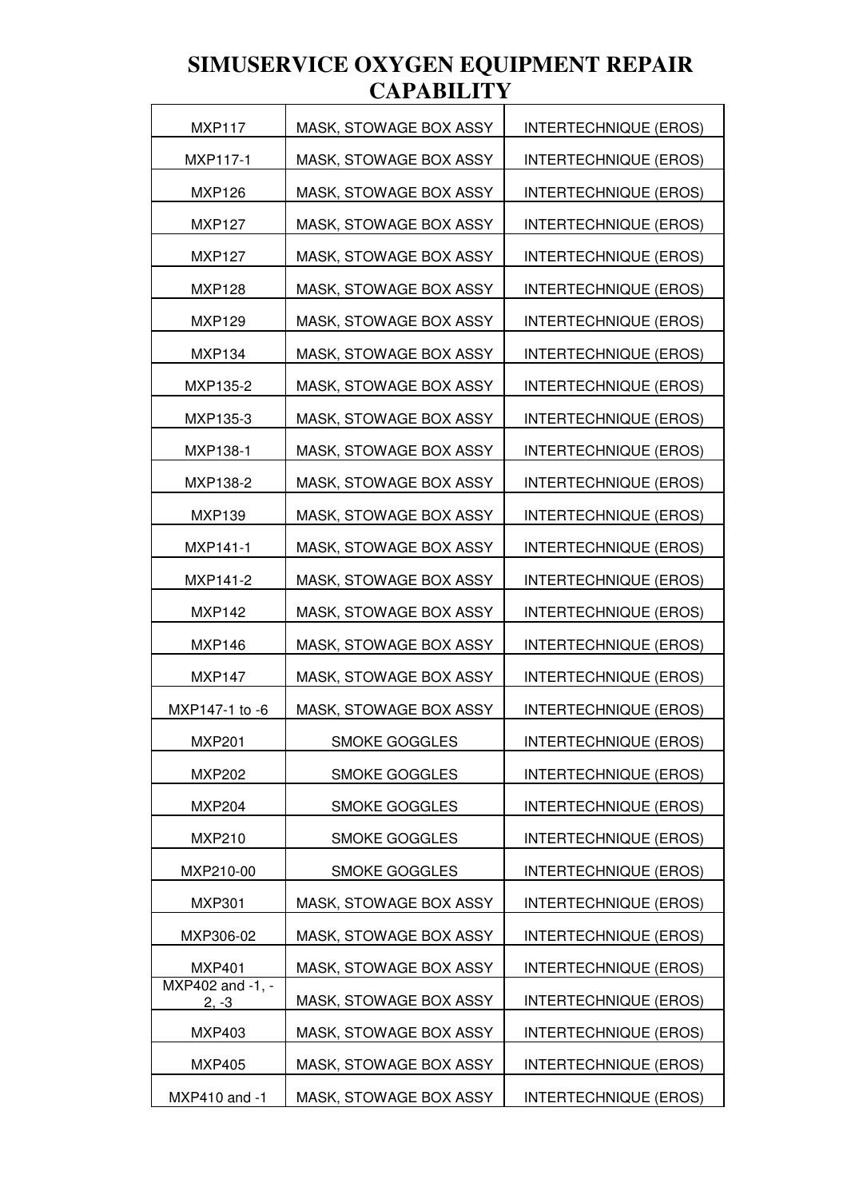| <b>MXP117</b>               | MASK, STOWAGE BOX ASSY | <b>INTERTECHNIQUE (EROS)</b> |
|-----------------------------|------------------------|------------------------------|
| MXP117-1                    | MASK, STOWAGE BOX ASSY | <b>INTERTECHNIQUE (EROS)</b> |
| <b>MXP126</b>               | MASK, STOWAGE BOX ASSY | <b>INTERTECHNIQUE (EROS)</b> |
| <b>MXP127</b>               | MASK, STOWAGE BOX ASSY | <b>INTERTECHNIQUE (EROS)</b> |
| <b>MXP127</b>               | MASK, STOWAGE BOX ASSY | <b>INTERTECHNIQUE (EROS)</b> |
| <b>MXP128</b>               | MASK, STOWAGE BOX ASSY | <b>INTERTECHNIQUE (EROS)</b> |
| <b>MXP129</b>               | MASK, STOWAGE BOX ASSY | <b>INTERTECHNIQUE (EROS)</b> |
| <b>MXP134</b>               | MASK, STOWAGE BOX ASSY | <b>INTERTECHNIQUE (EROS)</b> |
| MXP135-2                    | MASK, STOWAGE BOX ASSY | <b>INTERTECHNIQUE (EROS)</b> |
| MXP135-3                    | MASK, STOWAGE BOX ASSY | <b>INTERTECHNIQUE (EROS)</b> |
| MXP138-1                    | MASK, STOWAGE BOX ASSY | <b>INTERTECHNIQUE (EROS)</b> |
| MXP138-2                    | MASK, STOWAGE BOX ASSY | <b>INTERTECHNIQUE (EROS)</b> |
| <b>MXP139</b>               | MASK, STOWAGE BOX ASSY | <b>INTERTECHNIQUE (EROS)</b> |
| MXP141-1                    | MASK, STOWAGE BOX ASSY | <b>INTERTECHNIQUE (EROS)</b> |
| MXP141-2                    | MASK, STOWAGE BOX ASSY | <b>INTERTECHNIQUE (EROS)</b> |
| <b>MXP142</b>               | MASK, STOWAGE BOX ASSY | <b>INTERTECHNIQUE (EROS)</b> |
| <b>MXP146</b>               | MASK, STOWAGE BOX ASSY | <b>INTERTECHNIQUE (EROS)</b> |
| <b>MXP147</b>               | MASK, STOWAGE BOX ASSY | <b>INTERTECHNIQUE (EROS)</b> |
| MXP147-1 to -6              | MASK, STOWAGE BOX ASSY | <b>INTERTECHNIQUE (EROS)</b> |
| MXP201                      | SMOKE GOGGLES          | <b>INTERTECHNIQUE (EROS)</b> |
| <b>MXP202</b>               | <b>SMOKE GOGGLES</b>   | <b>INTERTECHNIQUE (EROS)</b> |
| <b>MXP204</b>               | SMOKE GOGGLES          | <b>INTERTECHNIQUE (EROS)</b> |
| MXP210                      | SMOKE GOGGLES          | <b>INTERTECHNIQUE (EROS)</b> |
| MXP210-00                   | SMOKE GOGGLES          | <b>INTERTECHNIQUE (EROS)</b> |
| <b>MXP301</b>               | MASK, STOWAGE BOX ASSY | <b>INTERTECHNIQUE (EROS)</b> |
| MXP306-02                   | MASK, STOWAGE BOX ASSY | <b>INTERTECHNIQUE (EROS)</b> |
| <b>MXP401</b>               | MASK, STOWAGE BOX ASSY | <b>INTERTECHNIQUE (EROS)</b> |
| MXP402 and -1, -<br>$2, -3$ | MASK, STOWAGE BOX ASSY | <b>INTERTECHNIQUE (EROS)</b> |
| MXP403                      | MASK, STOWAGE BOX ASSY | <b>INTERTECHNIQUE (EROS)</b> |
| <b>MXP405</b>               | MASK, STOWAGE BOX ASSY | <b>INTERTECHNIQUE (EROS)</b> |
| MXP410 and -1               | MASK, STOWAGE BOX ASSY | <b>INTERTECHNIQUE (EROS)</b> |